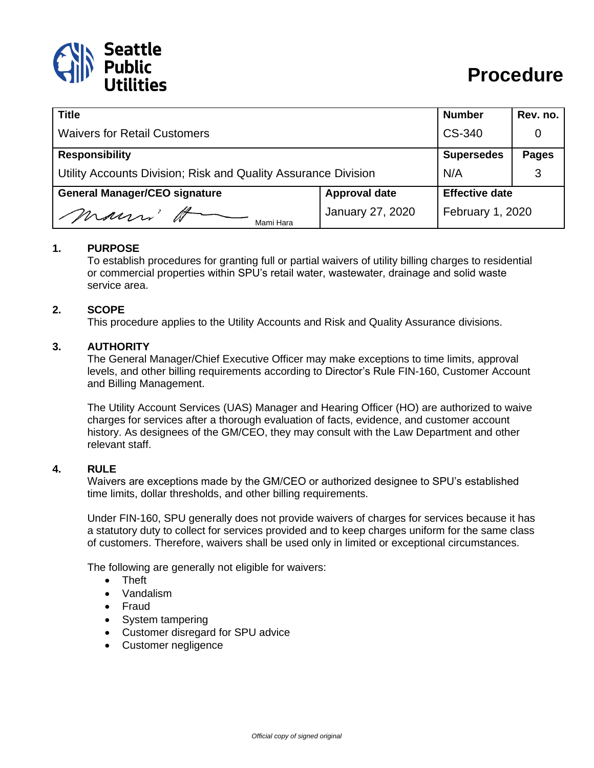

| <b>Title</b>                                                   |                      | <b>Number</b>         | Rev. no.     |
|----------------------------------------------------------------|----------------------|-----------------------|--------------|
| <b>Waivers for Retail Customers</b>                            |                      | CS-340                | 0            |
| <b>Responsibility</b>                                          |                      | <b>Supersedes</b>     | <b>Pages</b> |
| Utility Accounts Division; Risk and Quality Assurance Division |                      | N/A                   |              |
| <b>General Manager/CEO signature</b>                           | <b>Approval date</b> | <b>Effective date</b> |              |
| Marin' W<br>Mami Hara                                          | January 27, 2020     | February 1, 2020      |              |

### **1. PURPOSE**

To establish procedures for granting full or partial waivers of utility billing charges to residential or commercial properties within SPU's retail water, wastewater, drainage and solid waste service area.

### **2. SCOPE**

This procedure applies to the Utility Accounts and Risk and Quality Assurance divisions.

#### **3. AUTHORITY**

The General Manager/Chief Executive Officer may make exceptions to time limits, approval levels, and other billing requirements according to Director's Rule FIN-160, Customer Account and Billing Management.

The Utility Account Services (UAS) Manager and Hearing Officer (HO) are authorized to waive charges for services after a thorough evaluation of facts, evidence, and customer account history. As designees of the GM/CEO, they may consult with the Law Department and other relevant staff.

#### **4. RULE**

Waivers are exceptions made by the GM/CEO or authorized designee to SPU's established time limits, dollar thresholds, and other billing requirements.

Under FIN-160, SPU generally does not provide waivers of charges for services because it has a statutory duty to collect for services provided and to keep charges uniform for the same class of customers. Therefore, waivers shall be used only in limited or exceptional circumstances.

The following are generally not eligible for waivers:

- Theft
- Vandalism
- Fraud
- System tampering
- Customer disregard for SPU advice
- Customer negligence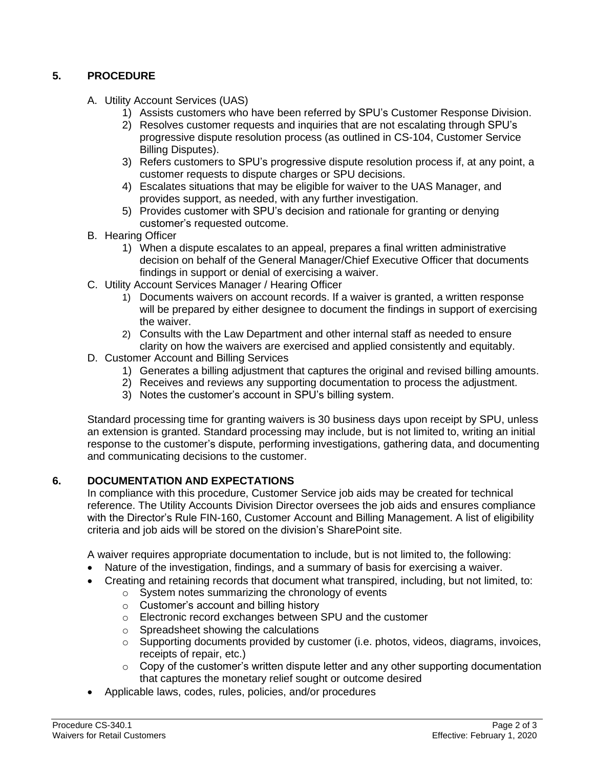# **5. PROCEDURE**

- A. Utility Account Services (UAS)
	- 1) Assists customers who have been referred by SPU's Customer Response Division.
	- 2) Resolves customer requests and inquiries that are not escalating through SPU's progressive dispute resolution process (as outlined in CS-104, Customer Service Billing Disputes).
	- 3) Refers customers to SPU's progressive dispute resolution process if, at any point, a customer requests to dispute charges or SPU decisions.
	- 4) Escalates situations that may be eligible for waiver to the UAS Manager, and provides support, as needed, with any further investigation.
	- 5) Provides customer with SPU's decision and rationale for granting or denying customer's requested outcome.
- B. Hearing Officer
	- 1) When a dispute escalates to an appeal, prepares a final written administrative decision on behalf of the General Manager/Chief Executive Officer that documents findings in support or denial of exercising a waiver.
- C. Utility Account Services Manager / Hearing Officer
	- 1) Documents waivers on account records. If a waiver is granted, a written response will be prepared by either designee to document the findings in support of exercising the waiver.
	- 2) Consults with the Law Department and other internal staff as needed to ensure clarity on how the waivers are exercised and applied consistently and equitably.
- D. Customer Account and Billing Services
	- 1) Generates a billing adjustment that captures the original and revised billing amounts.
	- 2) Receives and reviews any supporting documentation to process the adjustment.
	- 3) Notes the customer's account in SPU's billing system.

Standard processing time for granting waivers is 30 business days upon receipt by SPU, unless an extension is granted. Standard processing may include, but is not limited to, writing an initial response to the customer's dispute, performing investigations, gathering data, and documenting and communicating decisions to the customer.

# **6. DOCUMENTATION AND EXPECTATIONS**

In compliance with this procedure, Customer Service job aids may be created for technical reference. The Utility Accounts Division Director oversees the job aids and ensures compliance with the Director's Rule FIN-160, Customer Account and Billing Management. A list of eligibility criteria and job aids will be stored on the division's SharePoint site.

A waiver requires appropriate documentation to include, but is not limited to, the following:

- Nature of the investigation, findings, and a summary of basis for exercising a waiver.
- Creating and retaining records that document what transpired, including, but not limited, to:
	- o System notes summarizing the chronology of events
	- o Customer's account and billing history
	- o Electronic record exchanges between SPU and the customer
	- o Spreadsheet showing the calculations
	- o Supporting documents provided by customer (i.e. photos, videos, diagrams, invoices, receipts of repair, etc.)
	- $\circ$  Copy of the customer's written dispute letter and any other supporting documentation that captures the monetary relief sought or outcome desired
- Applicable laws, codes, rules, policies, and/or procedures